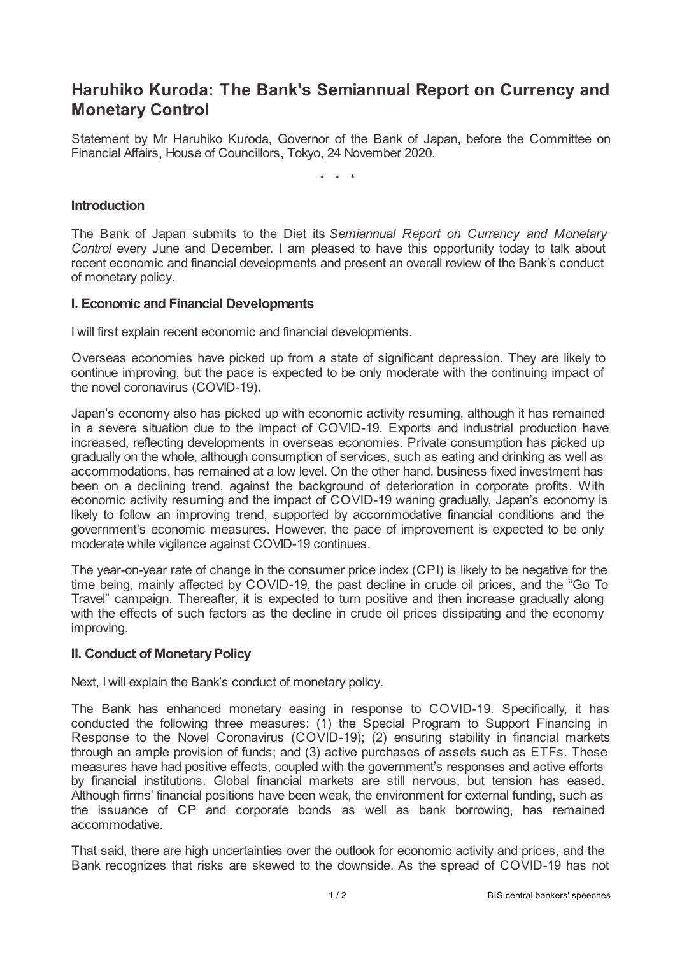## **Haruhiko Kuroda: The Bank's Semiannual Report on Currency and Monetary Control**

Statement by Mr Haruhiko Kuroda, Governor of the Bank of Japan, before the Committee on Financial Affairs, House of Councillors, Tokyo, 24 November 2020.

\* \* \*

## **Introduction**

The Bank of Japan submits to the Diet its *Semiannual Report on Currency and Monetary Control* every June and December. I am pleased to have this opportunity today to talk about recent economic and financial developments and present an overall review of the Bank's conduct of monetary policy.

## **I. Economic and Financial Developments**

I will first explain recent economic and financial developments.

Overseas economies have picked up from a state of significant depression. They are likely to continue improving, but the pace is expected to be only moderate with the continuing impact of the novel coronavirus (COVID-19).

Japan's economy also has picked up with economic activity resuming, although it has remained in a severe situation due to the impact of COVID-19. Exports and industrial production have increased, reflecting developments in overseas economies. Private consumption has picked up gradually on the whole, although consumption of services, such as eating and drinking as well as accommodations, has remained at a low level. On the other hand, business fixed investment has been on a declining trend, against the background of deterioration in corporate profits. With economic activity resuming and the impact of COVID-19 waning gradually, Japan's economy is likely to follow an improving trend, supported by accommodative financial conditions and the government's economic measures. However, the pace of improvement is expected to be only moderate while vigilance against COVID-19 continues.

The year-on-year rate of change in the consumer price index (CPI) is likely to be negative for the time being, mainly affected by COVID-19, the past decline in crude oil prices, and the "Go To Travel" campaign. Thereafter, it is expected to turn positive and then increase gradually along with the effects of such factors as the decline in crude oil prices dissipating and the economy improving.

## **II. Conduct of Monetary Policy**

Next, I will explain the Bank's conduct of monetary policy.

The Bank has enhanced monetary easing in response to COVID-19. Specifically, it has conducted the following three measures: (1) the Special Program to Support Financing in Response to the Novel Coronavirus (COVID-19); (2) ensuring stability in financial markets through an ample provision of funds; and (3) active purchases of assets such as ETFs. These measures have had positive effects, coupled with the government's responses and active efforts by financial institutions. Global financial markets are still nervous, but tension has eased. Although firms' financial positions have been weak, the environment for external funding, such as the issuance of CP and corporate bonds as well as bank borrowing, has remained accommodative.

That said, there are high uncertainties over the outlook for economic activity and prices, and the Bank recognizes that risks are skewed to the downside. As the spread of COVID-19 has not